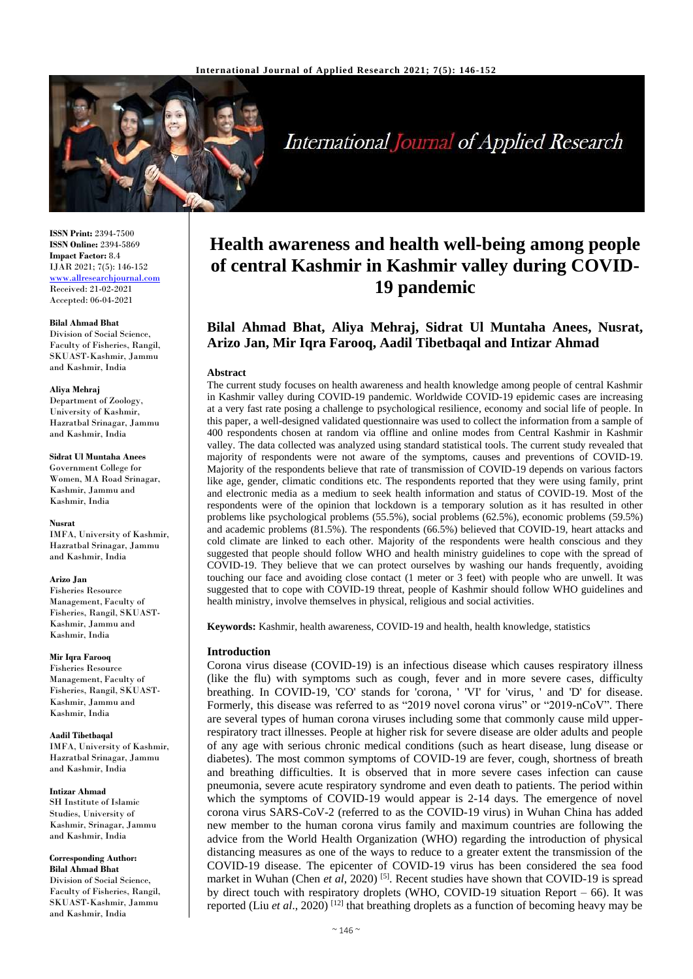

International Journal of Applied Research

**ISSN Print:** 2394-7500 **ISSN Online:** 2394-5869 **Impact Factor:** 8.4 IJAR 2021; 7(5): 146-152 <www.allresearchjournal.com> Received: 21-02-2021 Accepted: 06-04-2021

#### **Bilal Ahmad Bhat**

Division of Social Science, Faculty of Fisheries, Rangil, SKUAST-Kashmir, Jammu and Kashmir, India

#### **Aliya Mehraj**

Department of Zoology, University of Kashmir, Hazratbal Srinagar, Jammu and Kashmir, India

**Sidrat Ul Muntaha Anees** 

Government College for Women, MA Road Srinagar, Kashmir, Jammu and Kashmir, India

#### **Nusrat**

IMFA, University of Kashmir, Hazratbal Srinagar, Jammu and Kashmir, India

#### **Arizo Jan**

Fisheries Resource Management,Faculty of Fisheries, Rangil, SKUAST-Kashmir, Jammu and Kashmir, India

#### **Mir Iqra Farooq**

Fisheries Resource Management,Faculty of Fisheries, Rangil, SKUAST-Kashmir, Jammu and Kashmir, India

**Aadil Tibetbaqal**  IMFA, University of Kashmir, Hazratbal Srinagar, Jammu and Kashmir, India

**Intizar Ahmad**

SH Institute of Islamic Studies, University of Kashmir, Srinagar, Jammu and Kashmir, India

#### **Corresponding Author: Bilal Ahmad Bhat**

Division of Social Science, Faculty of Fisheries, Rangil, SKUAST-Kashmir, Jammu and Kashmir, India

# **Health awareness and health well-being among people of central Kashmir in Kashmir valley during COVID-19 pandemic**

# **Bilal Ahmad Bhat, Aliya Mehraj, Sidrat Ul Muntaha Anees, Nusrat, Arizo Jan, Mir Iqra Farooq, Aadil Tibetbaqal and Intizar Ahmad**

# **Abstract**

The current study focuses on health awareness and health knowledge among people of central Kashmir in Kashmir valley during COVID-19 pandemic. Worldwide COVID-19 epidemic cases are increasing at a very fast rate posing a challenge to psychological resilience, economy and social life of people. In this paper, a well-designed validated questionnaire was used to collect the information from a sample of 400 respondents chosen at random via offline and online modes from Central Kashmir in Kashmir valley. The data collected was analyzed using standard statistical tools. The current study revealed that majority of respondents were not aware of the symptoms, causes and preventions of COVID-19. Majority of the respondents believe that rate of transmission of COVID-19 depends on various factors like age, gender, climatic conditions etc. The respondents reported that they were using family, print and electronic media as a medium to seek health information and status of COVID-19. Most of the respondents were of the opinion that lockdown is a temporary solution as it has resulted in other problems like psychological problems (55.5%), social problems (62.5%), economic problems (59.5%) and academic problems (81.5%). The respondents (66.5%) believed that COVID-19, heart attacks and cold climate are linked to each other. Majority of the respondents were health conscious and they suggested that people should follow WHO and health ministry guidelines to cope with the spread of COVID-19. They believe that we can protect ourselves by washing our hands frequently, avoiding touching our face and avoiding close contact (1 meter or 3 feet) with people who are unwell. It was suggested that to cope with COVID-19 threat, people of Kashmir should follow WHO guidelines and health ministry, involve themselves in physical, religious and social activities.

**Keywords:** Kashmir, health awareness, COVID-19 and health, health knowledge, statistics

# **Introduction**

Corona virus disease (COVID-19) is an infectious disease which causes respiratory illness (like the flu) with symptoms such as cough, fever and in more severe cases, difficulty breathing. In COVID-19, 'CO' stands for 'corona, ' 'VI' for 'virus, ' and 'D' for disease. Formerly, this disease was referred to as "2019 novel corona virus" or "2019-nCoV". There are several types of human corona viruses including some that commonly cause mild upperrespiratory tract illnesses. People at higher risk for severe disease are older adults and people of any age with serious chronic medical conditions (such as heart disease, lung disease or diabetes). The most common symptoms of COVID-19 are fever, cough, shortness of breath and breathing difficulties. It is observed that in more severe cases infection can cause pneumonia, severe acute respiratory syndrome and even death to patients. The period within which the symptoms of COVID-19 would appear is 2-14 days. The emergence of novel corona virus SARS-CoV-2 (referred to as the COVID-19 virus) in Wuhan China has added new member to the human corona virus family and maximum countries are following the advice from the World Health Organization (WHO) regarding the introduction of physical distancing measures as one of the ways to reduce to a greater extent the transmission of the COVID-19 disease. The epicenter of COVID-19 virus has been considered the sea food market in Wuhan (Chen *et al*, 2020)<sup>[5]</sup>. Recent studies have shown that COVID-19 is spread by direct touch with respiratory droplets (WHO, COVID-19 situation Report – 66). It was reported (Liu *et al.*, 2020)<sup>[12]</sup> that breathing droplets as a function of becoming heavy may be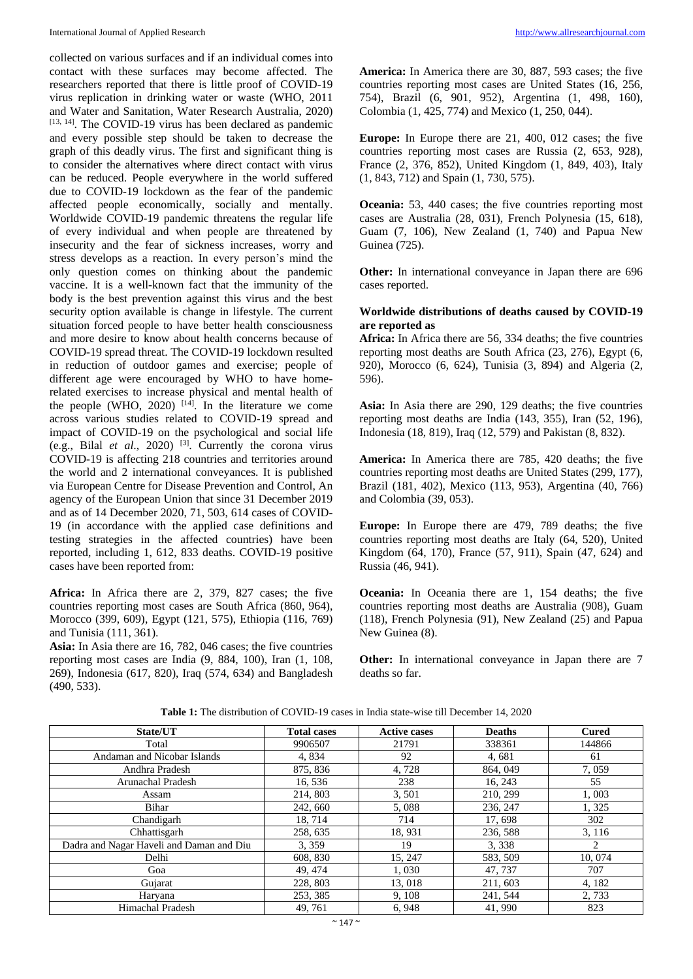collected on various surfaces and if an individual comes into contact with these surfaces may become affected. The researchers reported that there is little proof of COVID-19 virus replication in drinking water or waste (WHO, 2011 and Water and Sanitation, Water Research Australia, 2020) [13, 14]. The COVID-19 virus has been declared as pandemic and every possible step should be taken to decrease the graph of this deadly virus. The first and significant thing is to consider the alternatives where direct contact with virus can be reduced. People everywhere in the world suffered due to COVID-19 lockdown as the fear of the pandemic affected people economically, socially and mentally. Worldwide COVID-19 pandemic threatens the regular life of every individual and when people are threatened by insecurity and the fear of sickness increases, worry and stress develops as a reaction. In every person's mind the only question comes on thinking about the pandemic vaccine. It is a well-known fact that the immunity of the body is the best prevention against this virus and the best security option available is change in lifestyle. The current situation forced people to have better health consciousness and more desire to know about health concerns because of COVID-19 spread threat. The COVID-19 lockdown resulted in reduction of outdoor games and exercise; people of different age were encouraged by WHO to have homerelated exercises to increase physical and mental health of the people (WHO, 2020)  $[14]$ . In the literature we come across various studies related to COVID-19 spread and impact of COVID-19 on the psychological and social life (e.g., Bilal *et al.*, 2020)<sup>[3]</sup>. Currently the corona virus COVID*-*19 is affecting 218 countries and territories around the world and 2 international conveyances. It is published via European Centre for Disease Prevention and Control, An agency of the European Union that since 31 December 2019 and as of 14 December 2020, 71, 503, 614 cases of COVID-19 (in accordance with the applied case definitions and testing strategies in the affected countries) have been reported, including 1, 612, 833 deaths. COVID-19 positive cases have been reported from:

**Africa:** In Africa there are 2, 379, 827 cases; the five countries reporting most cases are South Africa (860, 964), Morocco (399, 609), Egypt (121, 575), Ethiopia (116, 769) and Tunisia (111, 361).

**Asia:** In Asia there are 16, 782, 046 cases; the five countries reporting most cases are India (9, 884, 100), Iran (1, 108, 269), Indonesia (617, 820), Iraq (574, 634) and Bangladesh (490, 533).

**America:** In America there are 30, 887, 593 cases; the five countries reporting most cases are United States (16, 256, 754), Brazil (6, 901, 952), Argentina (1, 498, 160), Colombia (1, 425, 774) and Mexico (1, 250, 044).

**Europe:** In Europe there are 21, 400, 012 cases; the five countries reporting most cases are Russia (2, 653, 928), France (2, 376, 852), United Kingdom (1, 849, 403), Italy (1, 843, 712) and Spain (1, 730, 575).

**Oceania:** 53, 440 cases; the five countries reporting most cases are Australia (28, 031), French Polynesia (15, 618), Guam (7, 106), New Zealand (1, 740) and Papua New Guinea (725).

**Other:** In international conveyance in Japan there are 696 cases reported.

# **Worldwide distributions of deaths caused by COVID-19 are reported as**

**Africa:** In Africa there are 56, 334 deaths; the five countries reporting most deaths are South Africa (23, 276), Egypt (6, 920), Morocco (6, 624), Tunisia (3, 894) and Algeria (2, 596).

**Asia:** In Asia there are 290, 129 deaths; the five countries reporting most deaths are India (143, 355), Iran (52, 196), Indonesia (18, 819), Iraq (12, 579) and Pakistan (8, 832).

**America:** In America there are 785, 420 deaths; the five countries reporting most deaths are United States (299, 177), Brazil (181, 402), Mexico (113, 953), Argentina (40, 766) and Colombia (39, 053).

**Europe:** In Europe there are 479, 789 deaths; the five countries reporting most deaths are Italy (64, 520), United Kingdom (64, 170), France (57, 911), Spain (47, 624) and Russia (46, 941).

**Oceania:** In Oceania there are 1, 154 deaths; the five countries reporting most deaths are Australia (908), Guam (118), French Polynesia (91), New Zealand (25) and Papua New Guinea (8).

**Other:** In international conveyance in Japan there are 7 deaths so far.

| State/UT                                 | <b>Total cases</b> | <b>Active cases</b> | <b>Deaths</b> | <b>Cured</b>  |
|------------------------------------------|--------------------|---------------------|---------------|---------------|
| Total                                    | 9906507            | 21791               | 338361        | 144866        |
| Andaman and Nicobar Islands              | 4,834              | 92                  | 4,681         | 61            |
| Andhra Pradesh                           | 875, 836           | 4,728               | 864, 049      | 7,059         |
| Arunachal Pradesh                        | 16, 536            | 238                 | 16, 243       | 55            |
| Assam                                    | 214, 803           | 3,501               | 210, 299      | 1,003         |
| Bihar                                    | 242, 660           | 5,088               | 236, 247      | 1,325         |
| Chandigarh                               | 18, 714            | 714                 | 17,698        | 302           |
| Chhattisgarh                             | 258, 635           | 18,931              | 236, 588      | 3, 116        |
| Dadra and Nagar Haveli and Daman and Diu | 3,359              | 19                  | 3,338         | $\mathcal{L}$ |
| Delhi                                    | 608, 830           | 15, 247             | 583, 509      | 10, 074       |
| Goa                                      | 49, 474            | 1,030               | 47, 737       | 707           |
| Gujarat                                  | 228, 803           | 13,018              | 211, 603      | 4, 182        |
| Haryana                                  | 253, 385           | 9, 108              | 241, 544      | 2,733         |
| Himachal Pradesh                         | 49, 761            | 6,948               | 41,990        | 823           |

**Table 1:** The distribution of COVID-19 cases in India state-wise till December 14, 2020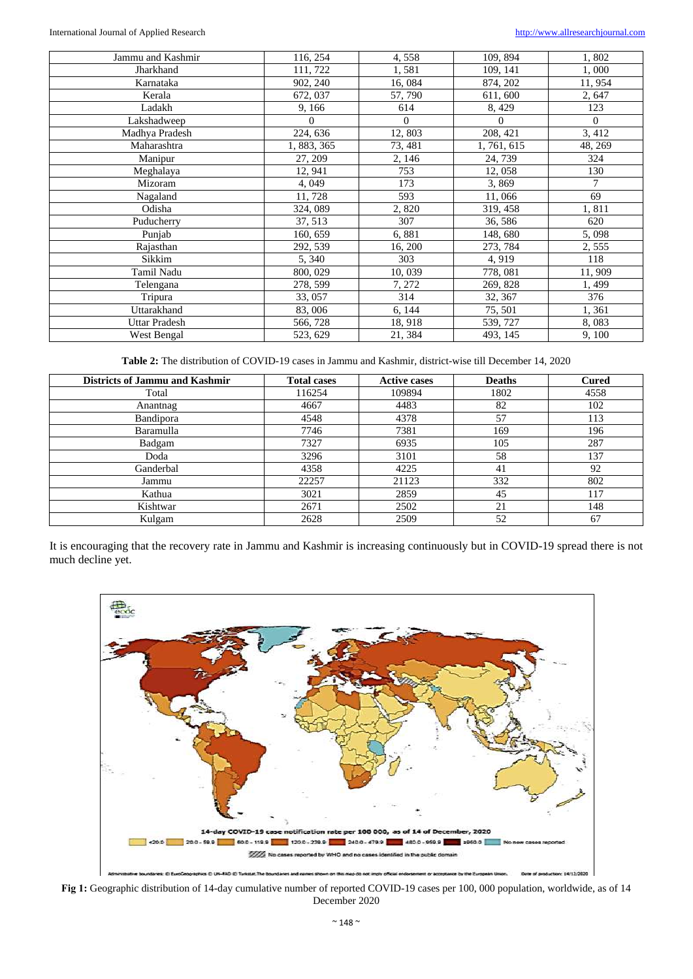#### International Journal of Applied Research [http://www.allresearchjournal.com](http://www.allresearchjournal.com/)

| Jammu and Kashmir    | 116, 254    | 4,558    | 109, 894    | 1,802          |
|----------------------|-------------|----------|-------------|----------------|
| Jharkhand            | 111, 722    | 1,581    | 109, 141    | 1,000          |
| Karnataka            | 902, 240    | 16,084   | 874, 202    | 11,954         |
| Kerala               | 672, 037    | 57, 790  | 611, 600    | 2,647          |
| Ladakh               | 9,166       | 614      | 8,429       | 123            |
| Lakshadweep          | $\Omega$    | $\Omega$ | $\Omega$    | $\overline{0}$ |
| Madhya Pradesh       | 224, 636    | 12,803   | 208, 421    | 3,412          |
| Maharashtra          | 1, 883, 365 | 73, 481  | 1, 761, 615 | 48, 269        |
| Manipur              | 27, 209     | 2, 146   | 24, 739     | 324            |
| Meghalaya            | 12, 941     | 753      | 12,058      | 130            |
| Mizoram              | 4,049       | 173      | 3,869       | 7              |
| Nagaland             | 11,728      | 593      | 11,066      | 69             |
| Odisha               | 324, 089    | 2,820    | 319, 458    | 1,811          |
| Puducherry           | 37, 513     | 307      | 36, 586     | 620            |
| Punjab               | 160, 659    | 6,881    | 148, 680    | 5,098          |
| Rajasthan            | 292, 539    | 16, 200  | 273, 784    | 2,555          |
| Sikkim               | 5, 340      | 303      | 4,919       | 118            |
| Tamil Nadu           | 800, 029    | 10,039   | 778, 081    | 11,909         |
| Telengana            | 278, 599    | 7, 272   | 269, 828    | 1,499          |
| Tripura              | 33, 057     | 314      | 32, 367     | 376            |
| Uttarakhand          | 83,006      | 6, 144   | 75, 501     | 1,361          |
| <b>Uttar Pradesh</b> | 566, 728    | 18, 918  | 539, 727    | 8,083          |
| West Bengal          | 523, 629    | 21, 384  | 493, 145    | 9,100          |

**Table 2:** The distribution of COVID-19 cases in Jammu and Kashmir, district-wise till December 14, 2020

| <b>Districts of Jammu and Kashmir</b> | <b>Total cases</b> | <b>Active cases</b> | <b>Deaths</b> | <b>Cured</b> |
|---------------------------------------|--------------------|---------------------|---------------|--------------|
| Total                                 | 116254             | 109894              | 1802          | 4558         |
| Anantnag                              | 4667               | 4483                | 82            | 102          |
| Bandipora                             | 4548               | 4378                | 57            | 113          |
| Baramulla                             | 7746               | 7381                | 169           | 196          |
| Badgam                                | 7327               | 6935                | 105           | 287          |
| Doda                                  | 3296               | 3101                | 58            | 137          |
| Ganderbal                             | 4358               | 4225                | 41            | 92           |
| Jammu                                 | 22257              | 21123               | 332           | 802          |
| Kathua                                | 3021               | 2859                | 45            | 117          |
| Kishtwar                              | 2671               | 2502                | 21            | 148          |
| Kulgam                                | 2628               | 2509                | 52            | 67           |

It is encouraging that the recovery rate in Jammu and Kashmir is increasing continuously but in COVID-19 spread there is not much decline yet.



Fig 1: Geographic distribution of 14-day cumulative number of reported COVID-19 cases per 100, 000 population, worldwide, as of 14 December 2020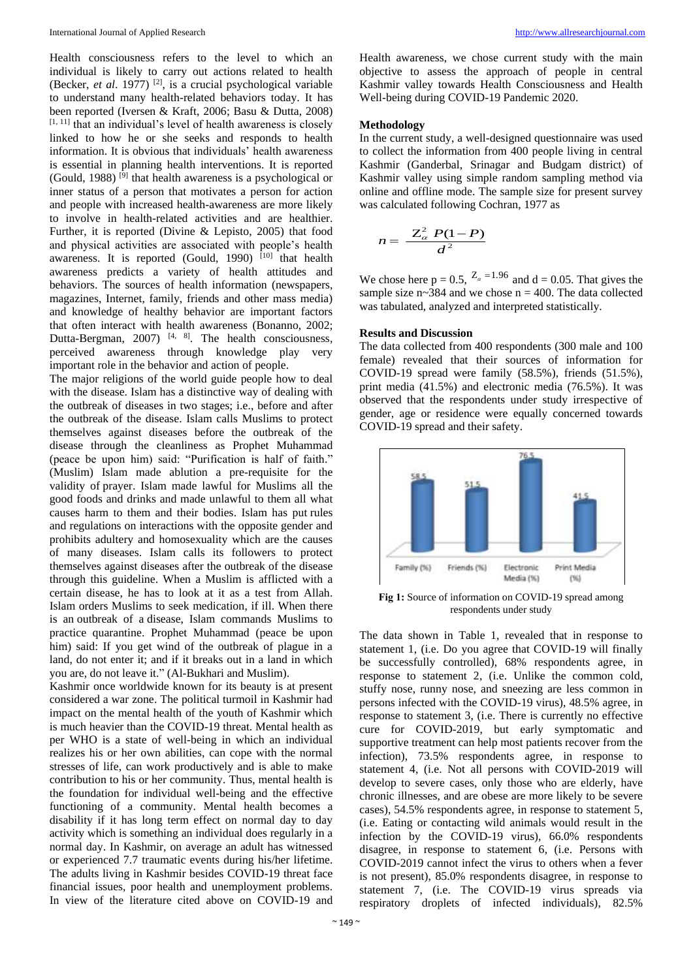Health consciousness refers to the level to which an individual is likely to carry out actions related to health (Becker, *et al.* 1977)<sup>[2]</sup>, is a crucial psychological variable to understand many health-related behaviors today. It has been reported (Iversen & Kraft, 2006; Basu & Dutta, 2008)  $[1, 11]$  that an individual's level of health awareness is closely linked to how he or she seeks and responds to health information. It is obvious that individuals' health awareness is essential in planning health interventions. It is reported (Gould, 1988)<sup>[9]</sup> that health awareness is a psychological or inner status of a person that motivates a person for action and people with increased health-awareness are more likely to involve in health-related activities and are healthier. Further, it is reported (Divine & Lepisto, 2005) that food and physical activities are associated with people's health awareness. It is reported (Gould, 1990)  $[10]$  that health awareness predicts a variety of health attitudes and behaviors. The sources of health information (newspapers, magazines, Internet, family, friends and other mass media) and knowledge of healthy behavior are important factors that often interact with health awareness (Bonanno, 2002; Dutta-Bergman, 2007)<sup>[4, 8]</sup>. The health consciousness, perceived awareness through knowledge play very important role in the behavior and action of people.

The major religions of the world guide people how to deal with the disease. Islam has a distinctive way of dealing with the outbreak of diseases in two stages; i.e., before and after the outbreak of the disease. Islam calls Muslims to protect themselves against diseases before the outbreak of the disease through the cleanliness as Prophet Muhammad (peace be upon him) said: "Purification is half of faith." (Muslim) Islam made ablution a pre-requisite for the validity of prayer. Islam made lawful for Muslims all the good foods and drinks and made unlawful to them all what causes harm to them and their bodies. Islam has put rules and regulations on interactions with the opposite gender and prohibits adultery and homosexuality which are the causes of many diseases. Islam calls its followers to protect themselves against diseases after the outbreak of the disease through this guideline. When a Muslim is afflicted with a certain disease, he has to look at it as a test from Allah. Islam orders Muslims to seek medication, if ill. When there is an outbreak of a disease, Islam commands Muslims to practice quarantine. Prophet Muhammad (peace be upon him) said: If you get wind of the outbreak of plague in a land, do not enter it; and if it breaks out in a land in which you are, do not leave it." (Al-Bukhari and Muslim).

Kashmir once worldwide known for its beauty is at present considered a war zone. The political turmoil in Kashmir had impact on the mental health of the youth of Kashmir which is much heavier than the COVID-19 threat. Mental health as per WHO is a state of well-being in which an individual realizes his or her own abilities, can cope with the normal stresses of life, can work productively and is able to make contribution to his or her community. Thus, mental health is the foundation for individual well-being and the effective functioning of a community. Mental health becomes a disability if it has long term effect on normal day to day activity which is something an individual does regularly in a normal day. In Kashmir, on average an adult has witnessed or experienced 7.7 traumatic events during his/her lifetime. The adults living in Kashmir besides COVID-19 threat face financial issues, poor health and unemployment problems. In view of the literature cited above on COVID-19 and

Health awareness, we chose current study with the main objective to assess the approach of people in central Kashmir valley towards Health Consciousness and Health Well-being during COVID-19 Pandemic 2020.

### **Methodology**

In the current study, a well-designed questionnaire was used to collect the information from 400 people living in central Kashmir (Ganderbal, Srinagar and Budgam district) of Kashmir valley using simple random sampling method via online and offline mode. The sample size for present survey was calculated following Cochran, 1977 as

$$
n=\frac{Z_{\alpha}^2 P(1-P)}{d^2}
$$

We chose here  $p = 0.5$ ,  $Z_a = 1.96$  and  $d = 0.05$ . That gives the sample size  $n \sim 384$  and we chose  $n = 400$ . The data collected was tabulated, analyzed and interpreted statistically.

# **Results and Discussion**

The data collected from 400 respondents (300 male and 100 female) revealed that their sources of information for COVID-19 spread were family (58.5%), friends (51.5%), print media (41.5%) and electronic media (76.5%). It was observed that the respondents under study irrespective of gender, age or residence were equally concerned towards COVID-19 spread and their safety.



**Fig 1:** Source of information on COVID-19 spread among respondents under study

The data shown in Table 1, revealed that in response to statement 1, (i.e. Do you agree that COVID-19 will finally be successfully controlled), 68% respondents agree, in response to statement 2, (i.e. Unlike the common cold, stuffy nose, runny nose, and sneezing are less common in persons infected with the COVID-19 virus), 48.5% agree, in response to statement 3, (i.e. There is currently no effective cure for COVID-2019, but early symptomatic and supportive treatment can help most patients recover from the infection), 73.5% respondents agree, in response to statement 4, (i.e. Not all persons with COVID-2019 will develop to severe cases, only those who are elderly, have chronic illnesses, and are obese are more likely to be severe cases), 54.5% respondents agree, in response to statement 5, (i.e. Eating or contacting wild animals would result in the infection by the COVID-19 virus), 66.0% respondents disagree, in response to statement 6, (i.e. Persons with COVID-2019 cannot infect the virus to others when a fever is not present), 85.0% respondents disagree, in response to statement 7, (i.e. The COVID-19 virus spreads via respiratory droplets of infected individuals), 82.5%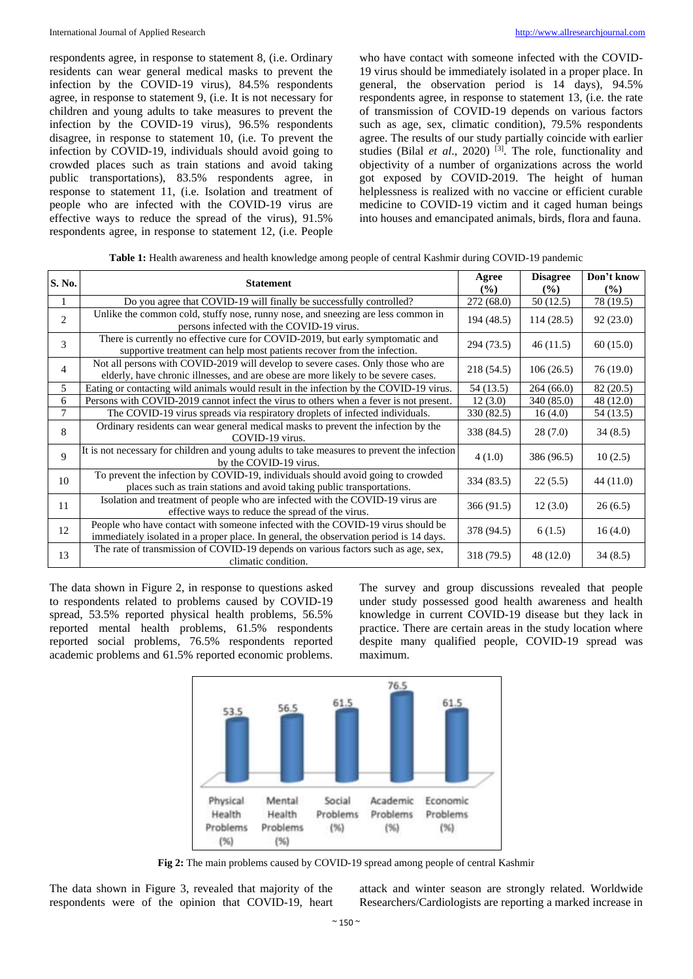respondents agree, in response to statement 8, (i.e. Ordinary residents can wear general medical masks to prevent the infection by the COVID-19 virus), 84.5% respondents agree, in response to statement 9, (i.e. It is not necessary for children and young adults to take measures to prevent the infection by the COVID-19 virus), 96.5% respondents disagree, in response to statement 10, (i.e. To prevent the infection by COVID-19, individuals should avoid going to crowded places such as train stations and avoid taking public transportations), 83.5% respondents agree, in response to statement 11, (i.e. Isolation and treatment of people who are infected with the COVID-19 virus are effective ways to reduce the spread of the virus), 91.5% respondents agree, in response to statement 12, (i.e. People

who have contact with someone infected with the COVID-19 virus should be immediately isolated in a proper place. In general, the observation period is 14 days), 94.5% respondents agree, in response to statement 13, (i.e. the rate of transmission of COVID-19 depends on various factors such as age, sex, climatic condition), 79.5% respondents agree. The results of our study partially coincide with earlier studies (Bilal *et al.*, 2020)<sup>[3]</sup>. The role, functionality and objectivity of a number of organizations across the world got exposed by COVID-2019. The height of human helplessness is realized with no vaccine or efficient curable medicine to COVID-19 victim and it caged human beings into houses and emancipated animals, birds, flora and fauna.

**Table 1:** Health awareness and health knowledge among people of central Kashmir during COVID-19 pandemic

| S. No.         | <b>Statement</b>                                                                                                                                                          |            | <b>Disagree</b><br>$($ %) | Don't know<br>$($ %) |
|----------------|---------------------------------------------------------------------------------------------------------------------------------------------------------------------------|------------|---------------------------|----------------------|
|                | Do you agree that COVID-19 will finally be successfully controlled?                                                                                                       | 272 (68.0) | 50 (12.5)                 | 78 (19.5)            |
| $\mathfrak{D}$ | Unlike the common cold, stuffy nose, runny nose, and sneezing are less common in<br>persons infected with the COVID-19 virus.                                             | 194 (48.5) | 114(28.5)                 | 92(23.0)             |
| $\mathcal{E}$  | There is currently no effective cure for COVID-2019, but early symptomatic and<br>supportive treatment can help most patients recover from the infection.                 | 294 (73.5) | 46(11.5)                  | 60(15.0)             |
| 4              | Not all persons with COVID-2019 will develop to severe cases. Only those who are<br>elderly, have chronic illnesses, and are obese are more likely to be severe cases.    | 218 (54.5) | 106(26.5)                 | 76 (19.0)            |
| 5              | Eating or contacting wild animals would result in the infection by the COVID-19 virus.                                                                                    | 54 (13.5)  | 264(66.0)                 | 82 (20.5)            |
| 6              | Persons with COVID-2019 cannot infect the virus to others when a fever is not present.                                                                                    | 12(3.0)    | 340 (85.0)                | 48 (12.0)            |
| 7              | The COVID-19 virus spreads via respiratory droplets of infected individuals.                                                                                              | 330 (82.5) | 16(4.0)                   | 54 (13.5)            |
| 8              | Ordinary residents can wear general medical masks to prevent the infection by the<br>COVID-19 virus.                                                                      | 338 (84.5) | 28(7.0)                   | 34(8.5)              |
| 9              | It is not necessary for children and young adults to take measures to prevent the infection<br>by the COVID-19 virus.                                                     | 4(1.0)     | 386 (96.5)                | 10(2.5)              |
| 10             | To prevent the infection by COVID-19, individuals should avoid going to crowded<br>places such as train stations and avoid taking public transportations.                 | 334 (83.5) | 22(5.5)                   | 44 (11.0)            |
| 11             | Isolation and treatment of people who are infected with the COVID-19 virus are<br>effective ways to reduce the spread of the virus.                                       | 366(91.5)  | 12(3.0)                   | 26(6.5)              |
| 12             | People who have contact with someone infected with the COVID-19 virus should be<br>immediately isolated in a proper place. In general, the observation period is 14 days. | 378 (94.5) | 6(1.5)                    | 16(4.0)              |
| 13             | The rate of transmission of COVID-19 depends on various factors such as age, sex,<br>climatic condition.                                                                  | 318 (79.5) | 48 (12.0)                 | 34(8.5)              |

The data shown in Figure 2, in response to questions asked to respondents related to problems caused by COVID-19 spread, 53.5% reported physical health problems, 56.5% reported mental health problems, 61.5% respondents reported social problems, 76.5% respondents reported academic problems and 61.5% reported economic problems. The survey and group discussions revealed that people under study possessed good health awareness and health knowledge in current COVID-19 disease but they lack in practice. There are certain areas in the study location where despite many qualified people, COVID-19 spread was maximum.



**Fig 2:** The main problems caused by COVID-19 spread among people of central Kashmir

The data shown in Figure 3, revealed that majority of the respondents were of the opinion that COVID-19, heart attack and winter season are strongly related. Worldwide Researchers/Cardiologists are reporting a marked increase in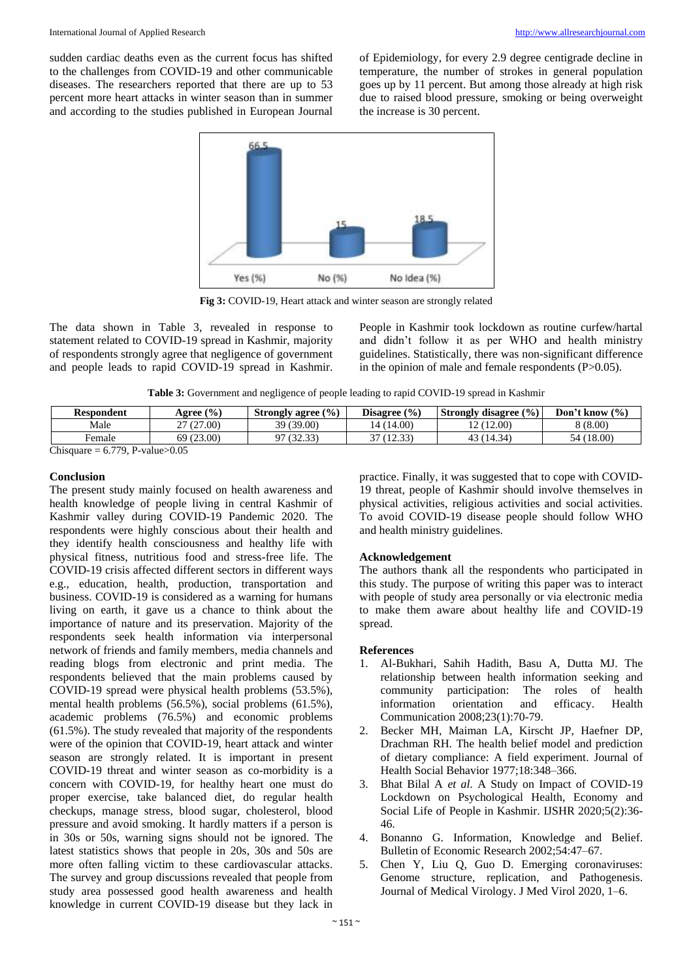sudden cardiac deaths even as the current focus has shifted to the challenges from COVID-19 and other communicable diseases. The researchers reported that there are up to 53 percent more heart attacks in winter season than in summer and according to the studies published in European Journal of Epidemiology, for every 2.9 degree centigrade decline in temperature, the number of strokes in general population goes up by 11 percent. But among those already at high risk due to raised blood pressure, smoking or being overweight the increase is 30 percent.



**Fig 3:** COVID-19, Heart attack and winter season are strongly related

The data shown in Table 3, revealed in response to statement related to COVID-19 spread in Kashmir, majority of respondents strongly agree that negligence of government and people leads to rapid COVID-19 spread in Kashmir.

People in Kashmir took lockdown as routine curfew/hartal and didn't follow it as per WHO and health ministry guidelines. Statistically, there was non-significant difference in the opinion of male and female respondents (P>0.05).

**Table 3:** Government and negligence of people leading to rapid COVID-19 spread in Kashmir

| <b>Respondent</b>                 | Agree (%)  | Strongly agree $(\% )$ | Disagree $(\% )$ | <b>Strongly disagree</b> $(\%)$ | Don't know $(\% )$ |
|-----------------------------------|------------|------------------------|------------------|---------------------------------|--------------------|
| Male                              | 27 (27.00) | 39 (39.00)             | (4 (14.00)       | 12 (12.00)                      | 8 (8.00)           |
| Female                            | 69 (23.00) | 97 (32.33)             | 37 (12.33)       | 43 (14.34)                      | (18.00)<br>54 (    |
| $Ph$ canona = 6.770 D values 0.05 |            |                        |                  |                                 |                    |

Chisquare  $= 6.779$ , P-value $> 0.05$ 

# **Conclusion**

The present study mainly focused on health awareness and health knowledge of people living in central Kashmir of Kashmir valley during COVID-19 Pandemic 2020. The respondents were highly conscious about their health and they identify health consciousness and healthy life with physical fitness, nutritious food and stress-free life. The COVID-19 crisis affected different sectors in different ways e.g., education, health, production, transportation and business. COVID-19 is considered as a warning for humans living on earth, it gave us a chance to think about the importance of nature and its preservation. Majority of the respondents seek health information via interpersonal network of friends and family members, media channels and reading blogs from electronic and print media. The respondents believed that the main problems caused by COVID-19 spread were physical health problems (53.5%), mental health problems (56.5%), social problems (61.5%), academic problems (76.5%) and economic problems (61.5%). The study revealed that majority of the respondents were of the opinion that COVID-19, heart attack and winter season are strongly related. It is important in present COVID-19 threat and winter season as co-morbidity is a concern with COVID-19, for healthy heart one must do proper exercise, take balanced diet, do regular health checkups, manage stress, blood sugar, cholesterol, blood pressure and avoid smoking. It hardly matters if a person is in 30s or 50s, warning signs should not be ignored. The latest statistics shows that people in 20s, 30s and 50s are more often falling victim to these cardiovascular attacks. The survey and group discussions revealed that people from study area possessed good health awareness and health knowledge in current COVID-19 disease but they lack in

practice. Finally, it was suggested that to cope with COVID-19 threat, people of Kashmir should involve themselves in physical activities, religious activities and social activities. To avoid COVID-19 disease people should follow WHO and health ministry guidelines.

# **Acknowledgement**

The authors thank all the respondents who participated in this study. The purpose of writing this paper was to interact with people of study area personally or via electronic media to make them aware about healthy life and COVID-19 spread.

# **References**

- 1. Al-Bukhari, Sahih Hadith, Basu A, Dutta MJ. The relationship between health information seeking and community participation: The roles of health information orientation and efficacy. Health Communication 2008;23(1):70-79.
- 2. Becker MH, Maiman LA, Kirscht JP, Haefner DP, Drachman RH. The health belief model and prediction of dietary compliance: A field experiment. Journal of Health Social Behavior 1977;18:348–366.
- 3. Bhat Bilal A *et al*. A Study on Impact of COVID-19 Lockdown on Psychological Health, Economy and Social Life of People in Kashmir. IJSHR 2020;5(2):36- 46.
- 4. Bonanno G. Information, Knowledge and Belief. Bulletin of Economic Research 2002;54:47–67.
- 5. Chen Y, Liu Q, Guo D. Emerging coronaviruses: Genome structure, replication, and Pathogenesis. Journal of Medical Virology. J Med Virol 2020, 1–6.